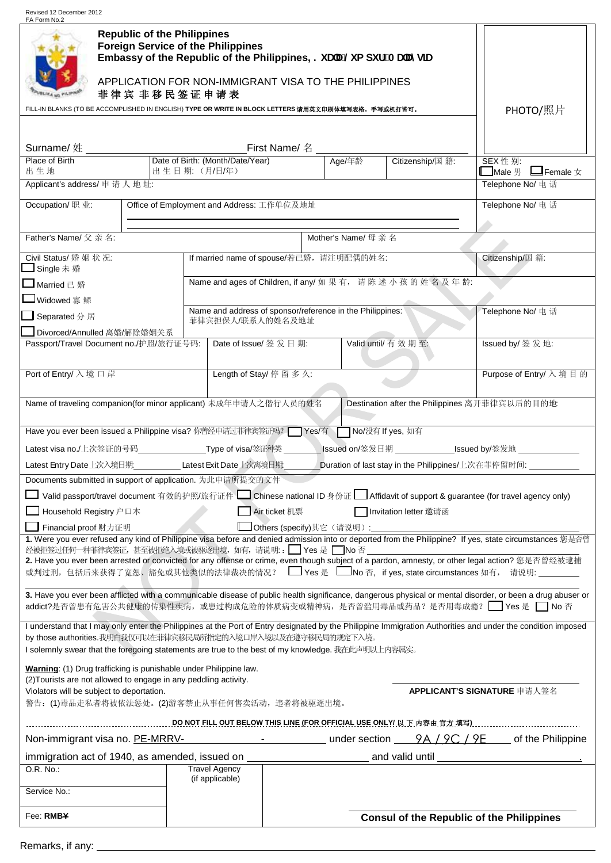Revised 12 December 2012 FA Form No.2

| <b>Republic of the Philippines</b><br><b>Foreign Service of the Philippines</b><br>Embassy of the Republic of the Philippines, ?i UU@ a di fžAUUmg]U<br>APPLICATION FOR NON-IMMIGRANT VISA TO THE PHILIPPINES<br>菲律宾 非移民签证申请表<br>FILL-IN BLANKS (TO BE ACCOMPLISHED IN ENGLISH) TYPE OR WRITE IN BLOCK LETTERS 请用英文印刷体填写表格,手写或机打皆可。                                                                                                                                                                                     | PHOTO/照片           |                                          |                          |                                                                               |                                                |                                                                                                                                                            |  |  |
|-------------------------------------------------------------------------------------------------------------------------------------------------------------------------------------------------------------------------------------------------------------------------------------------------------------------------------------------------------------------------------------------------------------------------------------------------------------------------------------------------------------------------|--------------------|------------------------------------------|--------------------------|-------------------------------------------------------------------------------|------------------------------------------------|------------------------------------------------------------------------------------------------------------------------------------------------------------|--|--|
|                                                                                                                                                                                                                                                                                                                                                                                                                                                                                                                         |                    |                                          |                          |                                                                               |                                                |                                                                                                                                                            |  |  |
| <b>Surname/ 姓</b><br>Place of Birth <b>Date of Birth:</b> (Month/Date/Year)   Age/年齢                                                                                                                                                                                                                                                                                                                                                                                                                                    |                    |                                          |                          |                                                                               | Citizenship/国籍:                                |                                                                                                                                                            |  |  |
| 出生地                                                                                                                                                                                                                                                                                                                                                                                                                                                                                                                     |                    |                                          |                          | SEX性别:<br>$\Box$ Male $\mathbb B$ $\Box$ Female $\chi$                        |                                                |                                                                                                                                                            |  |  |
| Applicant's address/ 申请人地址:                                                                                                                                                                                                                                                                                                                                                                                                                                                                                             |                    |                                          |                          | Telephone No/ 电话                                                              |                                                |                                                                                                                                                            |  |  |
| Occupation/ 职业:<br>Telephone No/ 电话<br>Office of Employment and Address: 工作单位及地址                                                                                                                                                                                                                                                                                                                                                                                                                                        |                    |                                          |                          |                                                                               |                                                |                                                                                                                                                            |  |  |
| Father's Name/ 父亲名:                                                                                                                                                                                                                                                                                                                                                                                                                                                                                                     | Mother's Name/ 母亲名 |                                          |                          |                                                                               |                                                |                                                                                                                                                            |  |  |
| Civil Status/ 婚姻状况:<br>■Single 未 婚                                                                                                                                                                                                                                                                                                                                                                                                                                                                                      |                    | If married name of spouse/若已婚, 请注明配偶的姓名: | Citizenship/国籍:          |                                                                               |                                                |                                                                                                                                                            |  |  |
| $\Box$ Married $\Box$ 婚                                                                                                                                                                                                                                                                                                                                                                                                                                                                                                 |                    |                                          |                          | Name and ages of Children, if any/ 如果有, 请陈述小孩的姓名及年龄:                          |                                                |                                                                                                                                                            |  |  |
| — Widowed 寡 鳏                                                                                                                                                                                                                                                                                                                                                                                                                                                                                                           |                    |                                          |                          |                                                                               |                                                | Telephone No/ 电话                                                                                                                                           |  |  |
| Separated 分居                                                                                                                                                                                                                                                                                                                                                                                                                                                                                                            |                    |                                          |                          | Name and address of sponsor/reference in the Philippines:<br>菲律宾担保人/联系人的姓名及地址 |                                                |                                                                                                                                                            |  |  |
| Divorced/Annulled 离婚/解除婚姻关系                                                                                                                                                                                                                                                                                                                                                                                                                                                                                             |                    |                                          |                          |                                                                               |                                                |                                                                                                                                                            |  |  |
| Passport/Travel Document no./护照/旅行证号码:                                                                                                                                                                                                                                                                                                                                                                                                                                                                                  |                    | Date of Issue/ 签 发 日 期:                  |                          |                                                                               | Valid until/ 有效期至:                             | Issued by/ 签发地:                                                                                                                                            |  |  |
| Port of Entry/ 入境口岸                                                                                                                                                                                                                                                                                                                                                                                                                                                                                                     |                    |                                          | Length of Stay/ 停 留 多 久: |                                                                               |                                                | Purpose of Entry/ 入境目的                                                                                                                                     |  |  |
| Name of traveling companion(for minor applicant) 未成年申请人之偕行人员的姓名<br>Have you ever been issued a Philippine visa? 你曾经申请过菲律宾签证吗? Yes/有 No/没有 If yes, 如有<br>Latest visa no./上次签证的号码________________Type of visa/签证种类_________lssued on/签发日期 _____________Issued by/签发地 __________<br>Documents submitted in support of application. 为此申请所提交的文件                                                                                                                                                                              |                    |                                          |                          |                                                                               | Destination after the Philippines 离开菲律宾以后的目的地: | Duration of last stay in the Philippines/上次在菲停留时间: ___________                                                                                             |  |  |
| Valid passport/travel document 有效的护照/旅行证件 ■ Chinese national ID 身份证 ■ Affidavit of support & guarantee (for travel agency only)<br>Household Registry 户口本<br><b>_│ Financial proof</b> 财力证明<br>经被拒签过任何一种菲律宾签证, 甚至被拒绝入境或被驱逐出境, 如有, 请说明: □ Yes 是 □ No 否<br>2. Have you ever been arrested or convicted for any offense or crime, even though subject of a pardon, amnesty, or other legal action? 您是否曾经被逮捕                                                                                                                |                    | Air ticket 机票                            | Others (specify)其它(请说明): |                                                                               | Invitation letter 邀请函                          | 1. Were you ever refused any kind of Philippine visa before and denied admission into or deported from the Philippine? If yes, state circumstances 您是否曾    |  |  |
| 或判过刑,包括后来获得了宽恕、豁免或其他类似的法律裁决的情况? □ Yes 是 □ No 否,if yes, state circumstances 如有, 请说明:<br>addict?是否曾患有危害公共健康的传染性疾病, 或患过构成危险的体质病变或精神病, 是否曾滥用毒品或药品? 是否用毒成瘾? □ Yes 是 □ No 否                                                                                                                                                                                                                                                                                                                                                   |                    |                                          |                          |                                                                               |                                                | 3. Have you ever been afflicted with a communicable disease of public health significance, dangerous physical or mental disorder, or been a drug abuser or |  |  |
| I understand that I may only enter the Philippines at the Port of Entry designated by the Philippine Immigration Authorities and under the condition imposed<br>by those authorities.我明白我仅可以在菲律宾移民局所指定的入境口岸入境以及在遵守移民局的规定下入境。<br>I solemnly swear that the foregoing statements are true to the best of my knowledge. 我在此声明以上内容属实。<br>Warning: (1) Drug trafficking is punishable under Philippine law.<br>(2) Tourists are not allowed to engage in any peddling activity.<br>Violators will be subject to deportation. |                    |                                          |                          |                                                                               |                                                | APPLICANT'S SIGNATURE 申请人签名                                                                                                                                |  |  |
| 警告: (1)毒品走私者将被依法惩处。(2)游客禁止从事任何售卖活动, 违者将被驱逐出境。                                                                                                                                                                                                                                                                                                                                                                                                                                                                           |                    |                                          |                          |                                                                               |                                                | <u>. DO NOT FILL OUT BELOW THIS LINE (FOR OFFICIAL USE ONLY/ 以 下 内容由 宵方 填写) …………………………………</u>                                                              |  |  |
| Non-immigrant visa no. PE-MRRV-                                                                                                                                                                                                                                                                                                                                                                                                                                                                                         |                    |                                          |                          |                                                                               |                                                | ________________________________under section _____9A_ <i> _</i> 9C_ <i> _</i> 9E_____ of the Philippine                                                   |  |  |
| immigration act of 1940, as amended, issued on ____________                                                                                                                                                                                                                                                                                                                                                                                                                                                             |                    |                                          |                          |                                                                               |                                                |                                                                                                                                                            |  |  |
| O.R. No.:                                                                                                                                                                                                                                                                                                                                                                                                                                                                                                               |                    | <b>Travel Agency</b><br>(if applicable)  |                          |                                                                               |                                                |                                                                                                                                                            |  |  |
| Service No.:                                                                                                                                                                                                                                                                                                                                                                                                                                                                                                            |                    |                                          |                          |                                                                               |                                                |                                                                                                                                                            |  |  |
| Fee: RMB¥                                                                                                                                                                                                                                                                                                                                                                                                                                                                                                               |                    |                                          |                          |                                                                               |                                                | <b>Consul of the Republic of the Philippines</b>                                                                                                           |  |  |
|                                                                                                                                                                                                                                                                                                                                                                                                                                                                                                                         |                    |                                          |                          |                                                                               |                                                |                                                                                                                                                            |  |  |

| Remarks, if any: |  |  |  |
|------------------|--|--|--|
|------------------|--|--|--|